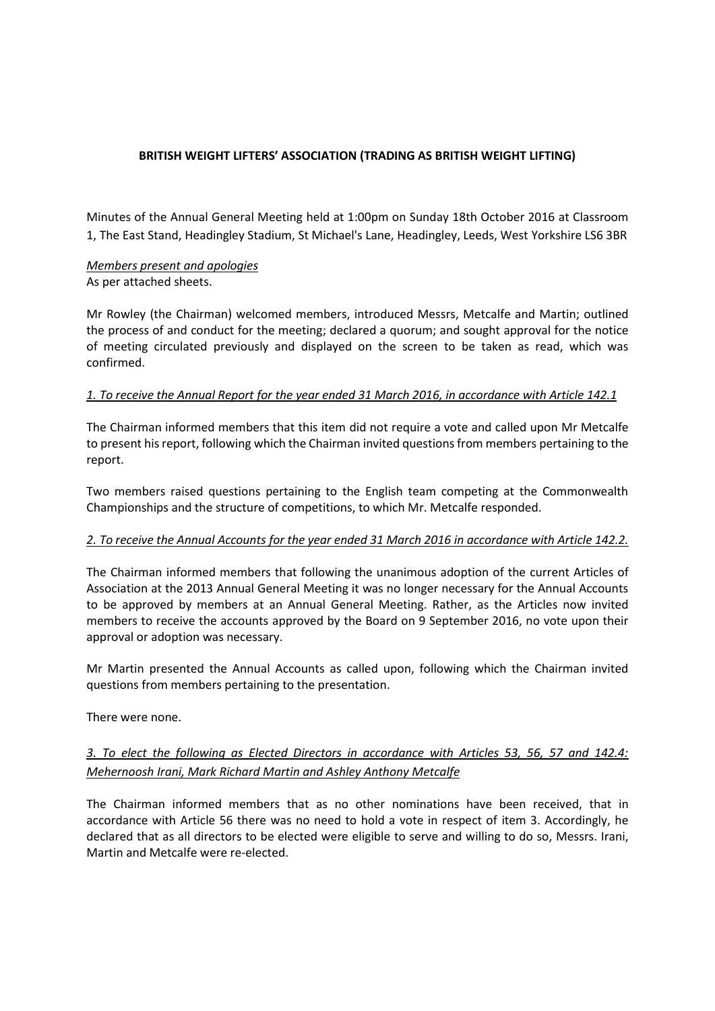## **BRITISH WEIGHT LIFTERS' ASSOCIATION (TRADING AS BRITISH WEIGHT LIFTING)**

Minutes of the Annual General Meeting held at 1:00pm on Sunday 18th October 2016 at Classroom 1, The East Stand, Headingley Stadium, St Michael's Lane, Headingley, Leeds, West Yorkshire LS6 3BR

### *Members present and apologies* As per attached sheets.

Mr Rowley (the Chairman) welcomed members, introduced Messrs, Metcalfe and Martin; outlined the process of and conduct for the meeting; declared a quorum; and sought approval for the notice of meeting circulated previously and displayed on the screen to be taken as read, which was confirmed.

## *1. To receive the Annual Report for the year ended 31 March 2016, in accordance with Article 142.1*

The Chairman informed members that this item did not require a vote and called upon Mr Metcalfe to present his report, following which the Chairman invited questions from members pertaining to the report.

Two members raised questions pertaining to the English team competing at the Commonwealth Championships and the structure of competitions, to which Mr. Metcalfe responded.

### *2. To receive the Annual Accounts for the year ended 31 March 2016 in accordance with Article 142.2.*

The Chairman informed members that following the unanimous adoption of the current Articles of Association at the 2013 Annual General Meeting it was no longer necessary for the Annual Accounts to be approved by members at an Annual General Meeting. Rather, as the Articles now invited members to receive the accounts approved by the Board on 9 September 2016, no vote upon their approval or adoption was necessary.

Mr Martin presented the Annual Accounts as called upon, following which the Chairman invited questions from members pertaining to the presentation.

There were none.

## *3. To elect the following as Elected Directors in accordance with Articles 53, 56, 57 and 142.4: Mehernoosh Irani, Mark Richard Martin and Ashley Anthony Metcalfe*

The Chairman informed members that as no other nominations have been received, that in accordance with Article 56 there was no need to hold a vote in respect of item 3. Accordingly, he declared that as all directors to be elected were eligible to serve and willing to do so, Messrs. Irani, Martin and Metcalfe were re-elected.